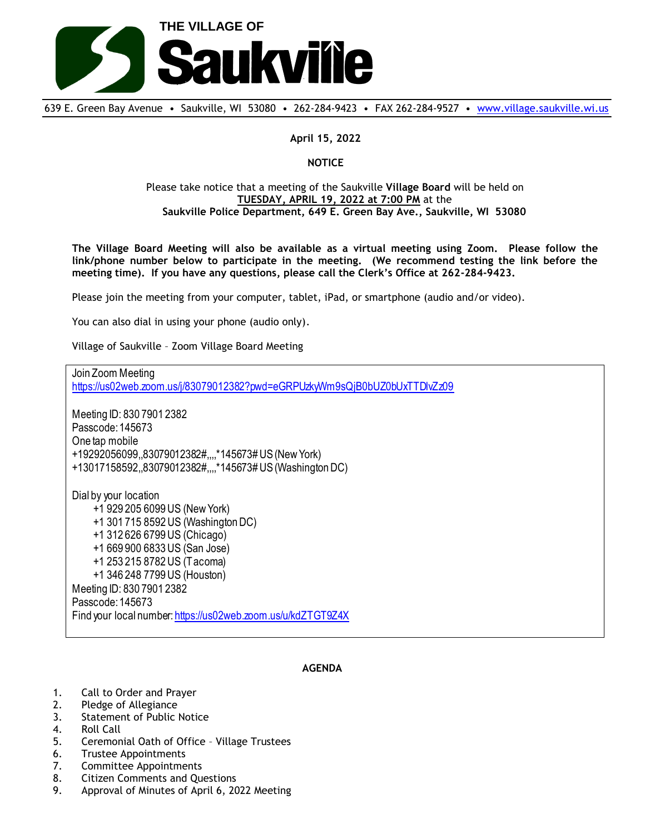

639 E. Green Bay Avenue • Saukville, WI 53080 • 262-284-9423 • FAX 262-284-9527 • [www.village.saukville.wi.us](http://www.village.saukville.wi.us/)

## **April 15, 2022**

## **NOTICE**

## Please take notice that a meeting of the Saukville **Village Board** will be held on **TUESDAY, APRIL 19, 2022 at 7:00 PM** at the **Saukville Police Department, 649 E. Green Bay Ave., Saukville, WI 53080**

**The Village Board Meeting will also be available as a virtual meeting using Zoom. Please follow the link/phone number below to participate in the meeting. (We recommend testing the link before the meeting time). If you have any questions, please call the Clerk's Office at 262-284-9423.**

Please join the meeting from your computer, tablet, iPad, or smartphone (audio and/or video).

You can also dial in using your phone (audio only).

Village of Saukville – Zoom Village Board Meeting

Join Zoom Meeting https://us02web.zoom.us/j/83079012382?pwd=eGRPUzkyWm9sQjB0bUZ0bUxTTDlvZz09 Meeting ID: 830 7901 2382 Passcode: 145673 One tap mobile +19292056099,,83079012382#,,,,\*145673# US (New York) +13017158592,,83079012382#,,,,\*145673# US (Washington DC) Dial by your location +1 929 205 6099 US (New York) +1 301 715 8592 US (Washington DC) +1 312 626 6799 US (Chicago) +1 669 900 6833 US (San Jose) +1 253 215 8782 US (Tacoma) +1 346 248 7799 US (Houston) Meeting ID: 830 7901 2382 Passcode: 145673 Find your local number: https://us02web.zoom.us/u/kdZTGT9Z4X

## **AGENDA**

- 1. Call to Order and Prayer
- 2. Pledge of Allegiance
- 3. Statement of Public Notice
- 4. Roll Call
- 5. Ceremonial Oath of Office Village Trustees
- 6. Trustee Appointments
- 7. Committee Appointments
- 8. Citizen Comments and Questions
- 9. Approval of Minutes of April 6, 2022 Meeting